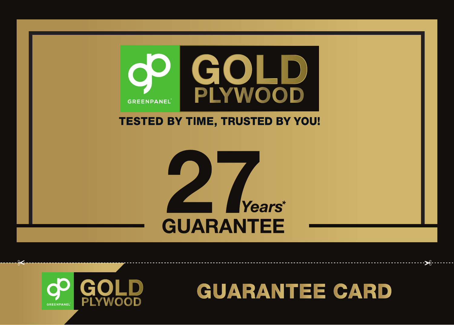

## **TESTED BY TIME, TRUSTED BY YOU!**





یم

## **GUARANTEE CARD**